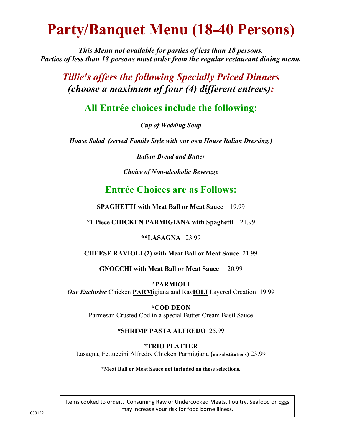# **Party/Banquet Menu (18-40 Persons)**

*This Menu not available for parties of less than 18 persons. Parties of less than 18 persons must order from the regular restaurant dining menu.*

*Tillie's offers the following Specially Priced Dinners (choose a maximum of four (4) different entrees):*

**All Entrée choices include the following:**

*Cup of Wedding Soup*

*House Salad (served Family Style with our own House Italian Dressing.)*

*Italian Bread and Butter*

*Choice of Non-alcoholic Beverage*

### **Entrée Choices are as Follows:**

**SPAGHETTI with Meat Ball or Meat Sauce** 19.99

**\*1 Piece CHICKEN PARMIGIANA with Spaghetti** 21.99

**\*\*LASAGNA** 23.99

**CHEESE RAVIOLI (2) with Meat Ball or Meat Sauce** 21.99

**GNOCCHI with Meat Ball or Meat Sauce** 20.99

**\*PARMIOLI**  *Our Exclusive* Chicken **PARM**igiana and Rav**IOLI** Layered Creation 19.99

> **\*COD DEON**  Parmesan Crusted Cod in a special Butter Cream Basil Sauce

#### **\*SHRIMP PASTA ALFREDO** 25.99

**\*TRIO PLATTER** 

Lasagna, Fettuccini Alfredo, Chicken Parmigiana **(no substitutions)** 23.99

**\*Meat Ball or Meat Sauce not included on these selections.** 

Items cooked to order.. Consuming Raw or Undercooked Meats, Poultry, Seafood or Eggs may increase your risk for food borne illness.